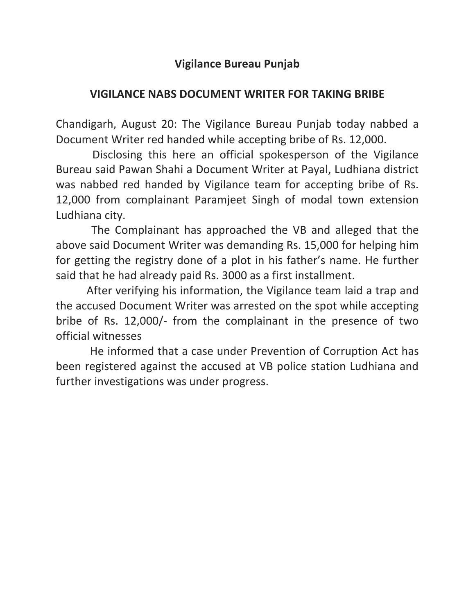## **Vigilance Bureau Punjab**

## **VIGILANCE NABS DOCUMENT WRITER FOR TAKING BRIBE**

Chandigarh, August 20: The Vigilance Bureau Punjab today nabbed a Document Writer red handed while accepting bribe of Rs. 12,000.

 Disclosing this here an official spokesperson of the Vigilance Bureau said Pawan Shahi a Document Writer at Payal, Ludhiana district was nabbed red handed by Vigilance team for accepting bribe of Rs. 12,000 from complainant Paramjeet Singh of modal town extension Ludhiana city.

 The Complainant has approached the VB and alleged that the above said Document Writer was demanding Rs. 15,000 for helping him for getting the registry done of a plot in his father's name. He further said that he had already paid Rs. 3000 as a first installment.

 After verifying his information, the Vigilance team laid a trap and the accused Document Writer was arrested on the spot while accepting bribe of Rs. 12,000/- from the complainant in the presence of two official witnesses

 He informed that a case under Prevention of Corruption Act has been registered against the accused at VB police station Ludhiana and further investigations was under progress.